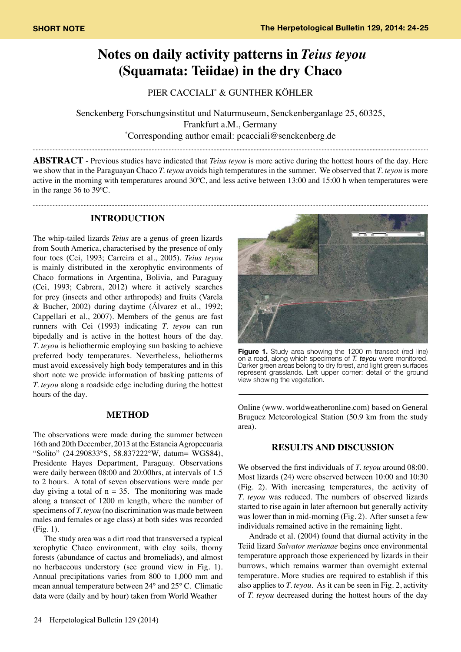# **Notes on daily activity patterns in** *Teius teyou* **(Squamata: Teiidae) in the dry Chaco**

PIER CACCIALI\* & GUNTHER KÖHLER

Senckenberg Forschungsinstitut und Naturmuseum, Senckenberganlage 25, 60325, Frankfurt a.M., Germany \* Corresponding author email: pcacciali@senckenberg.de

**ABSTRACT** - Previous studies have indicated that *Teius teyou* is more active during the hottest hours of the day. Here we show that in the Paraguayan Chaco *T. teyou* avoids high temperatures in the summer. We observed that *T. teyou* is more active in the morning with temperatures around 30ºC, and less active between 13:00 and 15:00 h when temperatures were in the range 36 to 39ºC.

### **INTRODUCTION**

The whip-tailed lizards *Teius* are a genus of green lizards from South America, characterised by the presence of only four toes (Cei, 1993; Carreira et al., 2005). *Teius teyou* is mainly distributed in the xerophytic environments of Chaco formations in Argentina, Bolivia, and Paraguay (Cei, 1993; Cabrera, 2012) where it actively searches for prey (insects and other arthropods) and fruits (Varela & Bucher, 2002) during daytime (Álvarez et al., 1992; Cappellari et al., 2007). Members of the genus are fast runners with Cei (1993) indicating *T. teyou* can run bipedally and is active in the hottest hours of the day. *T. teyou* is heliothermic employing sun basking to achieve preferred body temperatures. Nevertheless, heliotherms must avoid excessively high body temperatures and in this short note we provide information of basking patterns of *T. teyou* along a roadside edge including during the hottest hours of the day.

#### **METHOD**

The observations were made during the summer between 16th and 20th December, 2013 at the Estancia Agropecuaria "Solito" (24.290833°S, 58.837222°W, datum= WGS84), Presidente Hayes Department, Paraguay. Observations were daily between 08:00 and 20:00hrs, at intervals of 1.5 to 2 hours. A total of seven observations were made per day giving a total of  $n = 35$ . The monitoring was made along a transect of 1200 m length, where the number of specimens of *T. teyou* (no discrimination was made between males and females or age class) at both sides was recorded (Fig. 1).

The study area was a dirt road that transversed a typical xerophytic Chaco environment, with clay soils, thorny forests (abundance of cactus and bromeliads), and almost no herbaceous understory (see ground view in Fig. 1). Annual precipitations varies from 800 to 1,000 mm and mean annual temperature between 24° and 25° C. Climatic data were (daily and by hour) taken from World Weather



**Figure 1.** Study area showing the 1200 m transect (red line) on a road, along which specimens of *T. teyou* were monitored. Darker green areas belong to dry forest, and light green surfaces represent grasslands. Left upper corner: detail of the ground view showing the vegetation.

Online (www. worldweatheronline.com) based on General Bruguez Meteorological Station (50.9 km from the study area).

## **RESULTS AND DISCUSSION**

We observed the first individuals of *T. teyou* around 08:00. Most lizards (24) were observed between 10:00 and 10:30 (Fig. 2). With increasing temperatures, the activity of *T. teyou* was reduced. The numbers of observed lizards started to rise again in later afternoon but generally activity was lower than in mid-morning (Fig. 2). After sunset a few individuals remained active in the remaining light.

Andrade et al. (2004) found that diurnal activity in the Teiid lizard *Salvator merianae* begins once environmental temperature approach those experienced by lizards in their burrows, which remains warmer than overnight external temperature. More studies are required to establish if this also applies to *T. teyou*. As it can be seen in Fig. 2, activity of *T. teyou* decreased during the hottest hours of the day